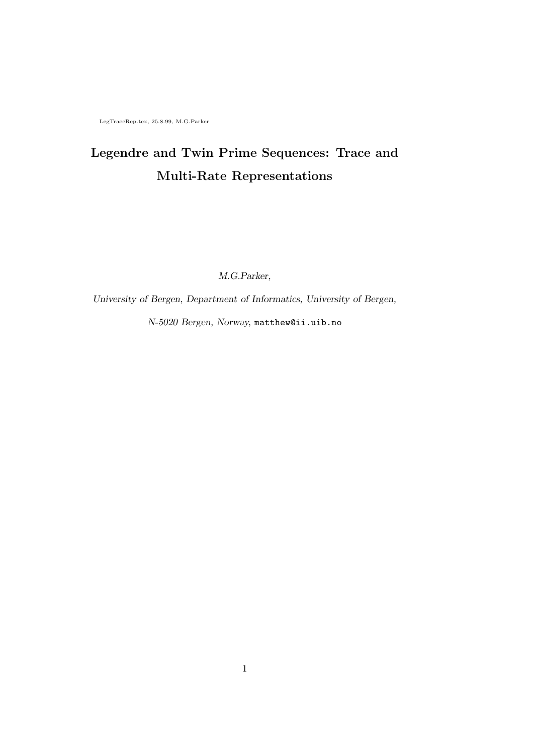LegTraceRep.tex, 25.8.99, M.G.Parker

## Legendre and Twin Prime Sequences: Trace and Multi-Rate Representations

M.G.Parker,

University of Bergen, Department of Informatics, University of Bergen,

N-5020 Bergen, Norway, matthew@ii.uib.no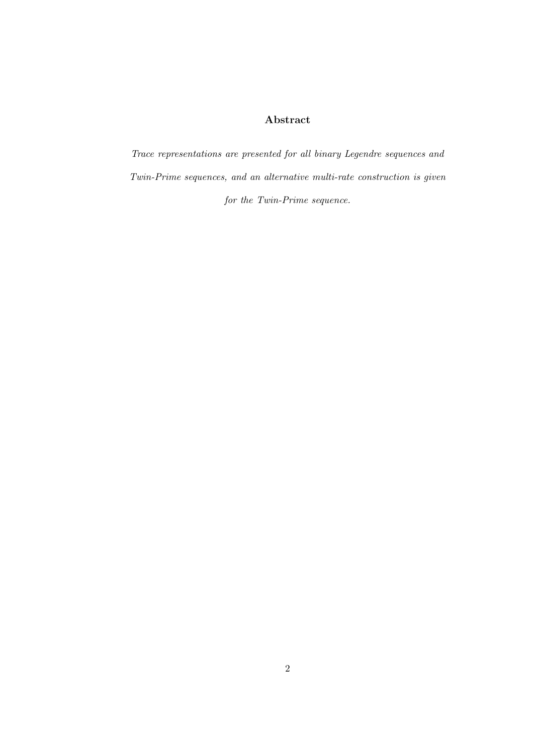### Abstract

Trace representations are presented for all binary Legendre sequences and Twin-Prime sequences, and an alternative multi-rate construction is given for the Twin-Prime sequence.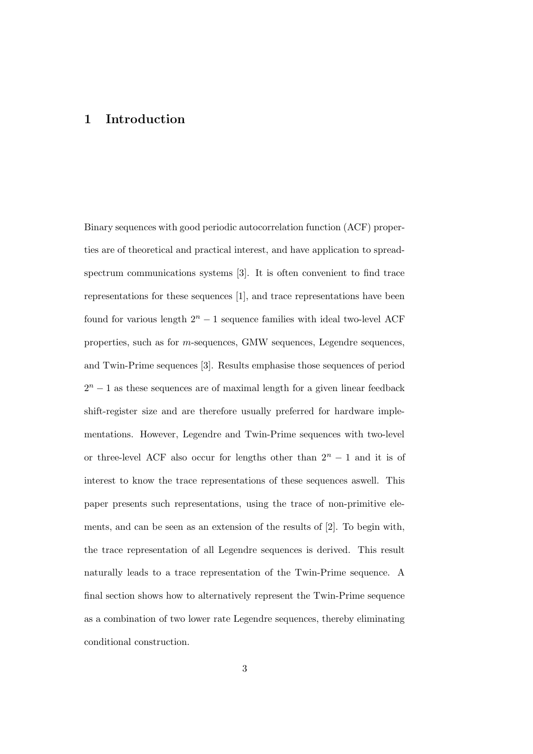### 1 Introduction

Binary sequences with good periodic autocorrelation function (ACF) properties are of theoretical and practical interest, and have application to spreadspectrum communications systems [3]. It is often convenient to find trace representations for these sequences [1], and trace representations have been found for various length  $2<sup>n</sup> - 1$  sequence families with ideal two-level ACF properties, such as for m-sequences, GMW sequences, Legendre sequences, and Twin-Prime sequences [3]. Results emphasise those sequences of period  $2<sup>n</sup> - 1$  as these sequences are of maximal length for a given linear feedback shift-register size and are therefore usually preferred for hardware implementations. However, Legendre and Twin-Prime sequences with two-level or three-level ACF also occur for lengths other than  $2^n - 1$  and it is of interest to know the trace representations of these sequences aswell. This paper presents such representations, using the trace of non-primitive elements, and can be seen as an extension of the results of [2]. To begin with, the trace representation of all Legendre sequences is derived. This result naturally leads to a trace representation of the Twin-Prime sequence. A final section shows how to alternatively represent the Twin-Prime sequence as a combination of two lower rate Legendre sequences, thereby eliminating conditional construction.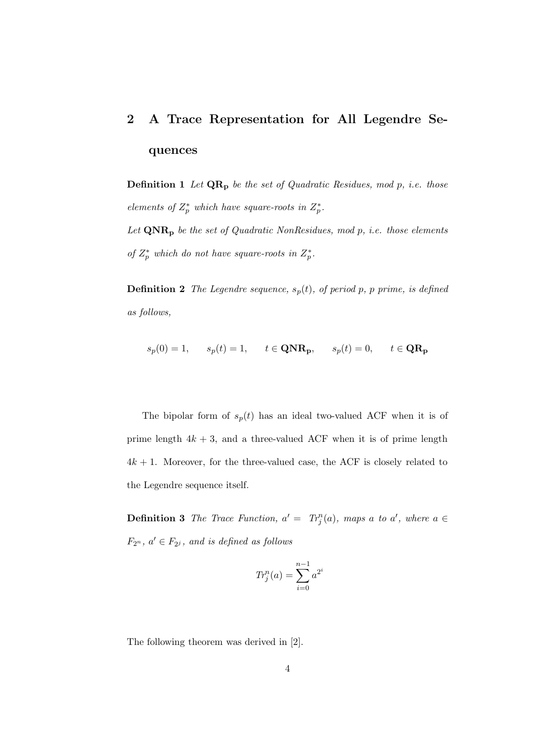# 2 A Trace Representation for All Legendre Sequences

**Definition 1** Let  $QR_p$  be the set of Quadratic Residues, mod p, i.e. those elements of  $Z_p^*$  which have square-roots in  $Z_p^*$ .

Let  $\mathbf{QNR}_p$  be the set of Quadratic NonResidues, mod p, i.e. those elements of  $Z_p^*$  which do not have square-roots in  $Z_p^*$ .

**Definition 2** The Legendre sequence,  $s_p(t)$ , of period p, p prime, is defined as follows,

$$
s_p(0) = 1, \qquad s_p(t) = 1, \qquad t \in \mathbf{QNR}_p, \qquad s_p(t) = 0, \qquad t \in \mathbf{QR}_p
$$

The bipolar form of  $s_p(t)$  has an ideal two-valued ACF when it is of prime length  $4k + 3$ , and a three-valued ACF when it is of prime length  $4k + 1$ . Moreover, for the three-valued case, the ACF is closely related to the Legendre sequence itself.

**Definition 3** The Trace Function,  $a' = Tr_j^n(a)$ , maps a to a', where  $a \in$  $F_{2^n}$ ,  $a' \in F_{2^j}$ , and is defined as follows

$$
Tr_j^n(a) = \sum_{i=0}^{n-1} a^{2^i}
$$

The following theorem was derived in [2].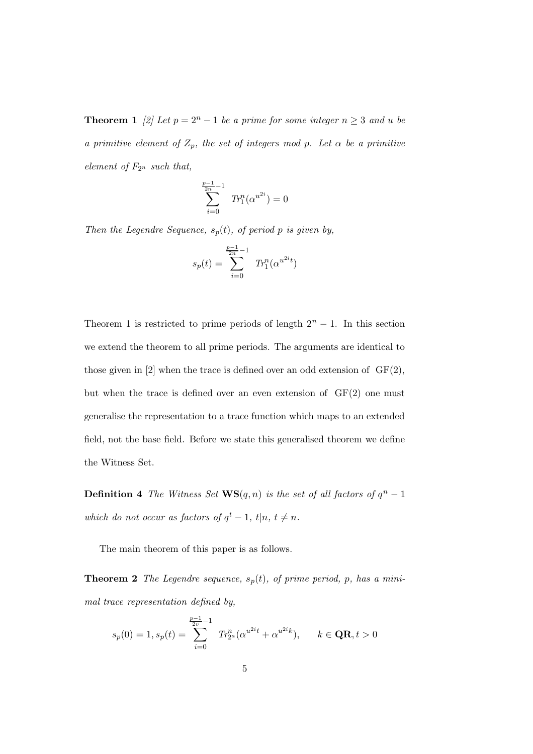**Theorem 1** [2] Let  $p = 2^n - 1$  be a prime for some integer  $n \geq 3$  and u be a primitive element of  $Z_p$ , the set of integers mod p. Let  $\alpha$  be a primitive element of  $F_{2^n}$  such that,

$$
\sum_{i=0}^{\frac{p-1}{2n}-1} T r_1^n(\alpha^{u^{2i}}) = 0
$$

Then the Legendre Sequence,  $s_p(t)$ , of period p is given by,

$$
s_p(t) = \sum_{i=0}^{\frac{p-1}{2n}-1} \ Tr_1^n(\alpha^{u^{2i}t})
$$

Theorem 1 is restricted to prime periods of length  $2<sup>n</sup> - 1$ . In this section we extend the theorem to all prime periods. The arguments are identical to those given in  $[2]$  when the trace is defined over an odd extension of  $GF(2)$ , but when the trace is defined over an even extension of  $GF(2)$  one must generalise the representation to a trace function which maps to an extended field, not the base field. Before we state this generalised theorem we define the Witness Set.

**Definition 4** The Witness Set  $\mathbf{WS}(q,n)$  is the set of all factors of  $q^n-1$ which do not occur as factors of  $q^t - 1$ ,  $t|n, t \neq n$ .

The main theorem of this paper is as follows.

**Theorem 2** The Legendre sequence,  $s_p(t)$ , of prime period, p, has a minimal trace representation defined by,

$$
s_p(0) = 1, s_p(t) = \sum_{i=0}^{\frac{p-1}{2v}-1} Tr_{2^a}^n(\alpha^{u^{2i}t} + \alpha^{u^{2i}k}), \qquad k \in \mathbf{QR}, t > 0
$$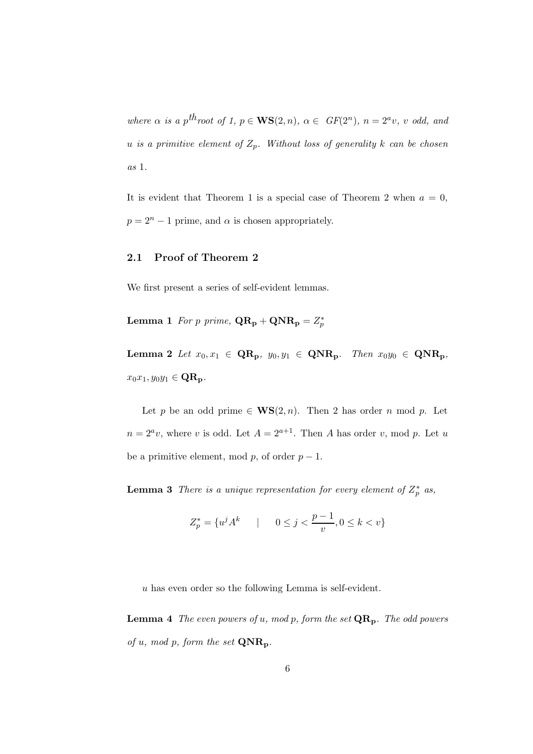where  $\alpha$  is a p<sup>th</sup>root of 1,  $p \in \mathbf{WS}(2,n)$ ,  $\alpha \in GF(2^n)$ ,  $n = 2^a v$ , v odd, and u is a primitive element of  $Z_p$ . Without loss of generality k can be chosen as 1.

It is evident that Theorem 1 is a special case of Theorem 2 when  $a = 0$ ,  $p = 2<sup>n</sup> - 1$  prime, and  $\alpha$  is chosen appropriately.

#### 2.1 Proof of Theorem 2

We first present a series of self-evident lemmas.

**Lemma 1** For p prime,  $\mathbf{QR}_{\mathbf{p}} + \mathbf{QNR}_{\mathbf{p}} = Z_p^*$ 

Lemma 2 Let  $x_0, x_1 \in \mathbf{QR_p}$ ,  $y_0, y_1 \in \mathbf{QNR_p}$ . Then  $x_0y_0 \in \mathbf{QNR_p}$ ,  $x_0x_1, y_0y_1 \in \mathbf{QR_p}.$ 

Let p be an odd prime  $\in$  WS(2, n). Then 2 has order n mod p. Let  $n = 2<sup>a</sup>v$ , where v is odd. Let  $A = 2<sup>a+1</sup>$ . Then A has order v, mod p. Let u be a primitive element, mod p, of order  $p - 1$ .

**Lemma 3** There is a unique representation for every element of  $Z_p^*$  as,

$$
Z_p^* = \{ u^j A^k \qquad | \qquad 0 \le j < \frac{p-1}{v}, 0 \le k < v \}
$$

u has even order so the following Lemma is self-evident.

**Lemma 4** The even powers of u, mod p, form the set  $\mathbf{QR}_{\mathbf{p}}$ . The odd powers of u, mod p, form the set  $\mathbf{QNR}_{\mathbf{p}}$ .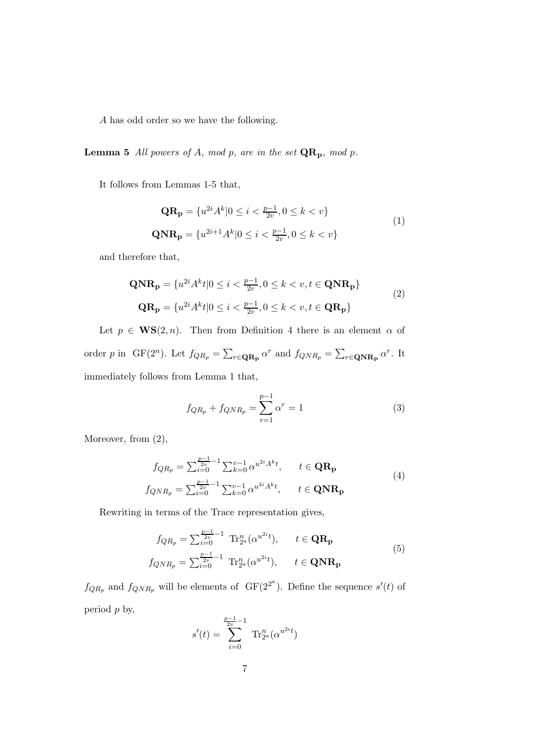A has odd order so we have the following.

**Lemma 5** All powers of A, mod p, are in the set  $\mathbf{QR}_{\mathbf{p}}$ , mod p.

It follows from Lemmas 1-5 that,

$$
\mathbf{QR}_{\mathbf{p}} = \{u^{2i} A^k | 0 \le i < \frac{p-1}{2v}, 0 \le k < v\}
$$
\n
$$
\mathbf{QNR}_{\mathbf{p}} = \{u^{2i+1} A^k | 0 \le i < \frac{p-1}{2v}, 0 \le k < v\}
$$
\n
$$
(1)
$$

and therefore that,

$$
\mathbf{QNR}_{\mathbf{p}} = \{u^{2i}A^{k}t|0 \leq i < \frac{p-1}{2v}, 0 \leq k < v, t \in \mathbf{QNR}_{\mathbf{p}}\}\
$$
\n
$$
\mathbf{QR}_{\mathbf{p}} = \{u^{2i}A^{k}t|0 \leq i < \frac{p-1}{2v}, 0 \leq k < v, t \in \mathbf{QR}_{\mathbf{p}}\}\
$$
\n
$$
(2)
$$

Let  $p \in \mathbf{WS}(2,n)$ . Then from Definition 4 there is an element  $\alpha$  of order p in GF(2<sup>n</sup>). Let  $f_{QR_p} = \sum_{r \in \mathbf{QR_p}} \alpha^r$  and  $f_{QNR_p} = \sum_{r \in \mathbf{QNR_p}} \alpha^r$ . It immediately follows from Lemma 1 that,

$$
f_{QR_p} + f_{QNR_p} = \sum_{r=1}^{p-1} \alpha^r = 1
$$
 (3)

Moreover, from  $(2)$ ,

$$
f_{QR_p} = \sum_{i=0}^{\frac{p-1}{2v}} \sum_{k=0}^{v-1} \alpha^{u^{2i} A^k t}, \qquad t \in \mathbf{QR_p}
$$
  

$$
f_{QNR_p} = \sum_{i=0}^{\frac{p-1}{2v}} \sum_{k=0}^{v-1} \alpha^{u^{2i} A^k t}, \qquad t \in \mathbf{QNR_p}
$$
 (4)

Rewriting in terms of the Trace representation gives,

$$
f_{QR_p} = \sum_{i=0}^{\frac{p-1}{2v}} \text{Tr}_{2^a}^n(\alpha^{u^{2i}t}), \qquad t \in \mathbf{QR_p}
$$
  
\n
$$
f_{QNR_p} = \sum_{i=0}^{\frac{p-1}{2v}-1} \text{Tr}_{2^a}^n(\alpha^{u^{2i}t}), \qquad t \in \mathbf{QNR_p}
$$
\n(5)

 $f_{QR_p}$  and  $f_{QNR_p}$  will be elements of  $GF(2^{2^a})$ . Define the sequence  $s'(t)$  of period p by,

$$
s'(t) = \sum_{i=0}^{\frac{p-1}{2v}-1} \operatorname{Tr}_{2^a}^n(\alpha^{u^{2i}t})
$$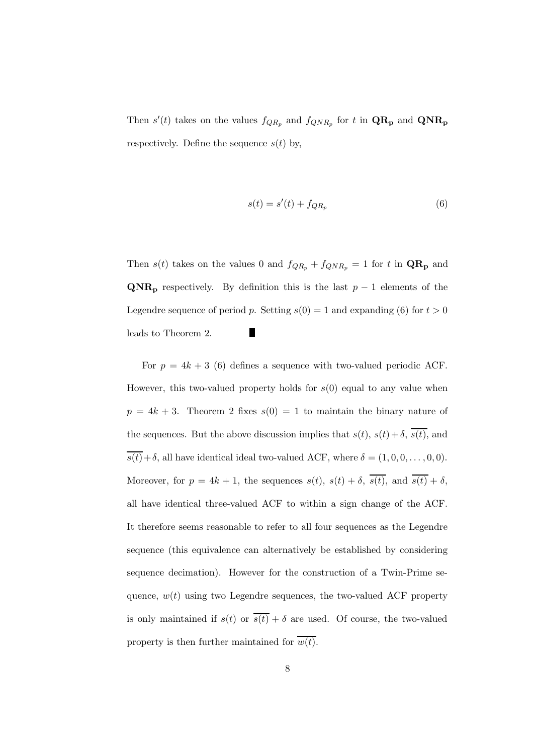Then  $s'(t)$  takes on the values  $f_{QR_p}$  and  $f_{QNR_p}$  for t in  $\mathbf{QR_p}$  and  $\mathbf{QNR_p}$ respectively. Define the sequence  $s(t)$  by,

$$
s(t) = s'(t) + f_{QR_p} \tag{6}
$$

Then  $s(t)$  takes on the values 0 and  $f_{QR_p} + f_{QNR_p} = 1$  for t in  $\mathbf{QR_p}$  and  $\mathbf{QNR}_p$  respectively. By definition this is the last  $p-1$  elements of the Legendre sequence of period p. Setting  $s(0) = 1$  and expanding (6) for  $t > 0$ leads to Theorem 2.

For  $p = 4k + 3$  (6) defines a sequence with two-valued periodic ACF. However, this two-valued property holds for  $s(0)$  equal to any value when  $p = 4k + 3$ . Theorem 2 fixes  $s(0) = 1$  to maintain the binary nature of the sequences. But the above discussion implies that  $s(t)$ ,  $s(t) + \delta$ ,  $\overline{s(t)}$ , and  $\overline{s(t)} + \delta$ , all have identical ideal two-valued ACF, where  $\delta = (1, 0, 0, \ldots, 0, 0)$ . Moreover, for  $p = 4k + 1$ , the sequences  $s(t)$ ,  $s(t) + \delta$ ,  $\overline{s(t)}$ , and  $\overline{s(t)} + \delta$ , all have identical three-valued ACF to within a sign change of the ACF. It therefore seems reasonable to refer to all four sequences as the Legendre sequence (this equivalence can alternatively be established by considering sequence decimation). However for the construction of a Twin-Prime sequence,  $w(t)$  using two Legendre sequences, the two-valued ACF property is only maintained if  $s(t)$  or  $\overline{s(t)} + \delta$  are used. Of course, the two-valued property is then further maintained for  $\overline{w(t)}$ .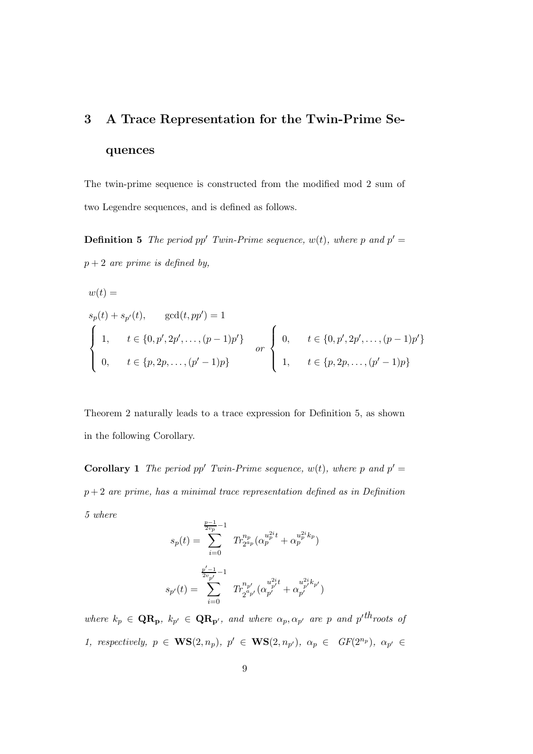## 3 A Trace Representation for the Twin-Prime Sequences

The twin-prime sequence is constructed from the modified mod 2 sum of two Legendre sequences, and is defined as follows.

**Definition 5** The period pp' Twin-Prime sequence,  $w(t)$ , where p and  $p' =$  $p + 2$  are prime is defined by,

$$
w(t) =
$$
  
\n
$$
s_p(t) + s_{p'}(t), \quad \gcd(t, pp') = 1
$$
  
\n
$$
\begin{cases}\n1, & t \in \{0, p', 2p', \dots, (p-1)p'\} \\
0, & t \in \{p, 2p, \dots, (p'-1)p\}\n\end{cases}
$$
 or 
$$
\begin{cases}\n0, & t \in \{0, p', 2p', \dots, (p-1)p'\} \\
1, & t \in \{p, 2p, \dots, (p'-1)p\}\n\end{cases}
$$

Theorem 2 naturally leads to a trace expression for Definition 5, as shown in the following Corollary.

**Corollary 1** The period pp' Twin-Prime sequence,  $w(t)$ , where p and  $p' =$  $p+2$  are prime, has a minimal trace representation defined as in Definition 5 where

$$
s_p(t) = \sum_{i=0}^{\frac{p-1}{2v_p} - 1} Tr_{2^{a_p}}^{n_p}(\alpha_p^{u_p^{2i}t} + \alpha_p^{u_p^{2i}k_p})
$$

$$
s_{p'}(t) = \sum_{i=0}^{\frac{p'-1}{2v_{p'}} - 1} Tr_{2^{a_{p'}}}^{n_{p'}}(\alpha_{p'}^{u_{p'}^{2i}t} + \alpha_{p'}^{u_{p'}^{2i}k_p'})
$$

where  $k_p \in \mathbf{QR_p}$ ,  $k_{p'} \in \mathbf{QR_{p'}}$ , and where  $\alpha_p, \alpha_{p'}$  are p and  $p'^{th}$  roots of 1, respectively,  $p \in \mathbf{WS}(2,n_p)$ ,  $p' \in \mathbf{WS}(2,n_{p'})$ ,  $\alpha_p \in GF(2^{n_p})$ ,  $\alpha_{p'} \in$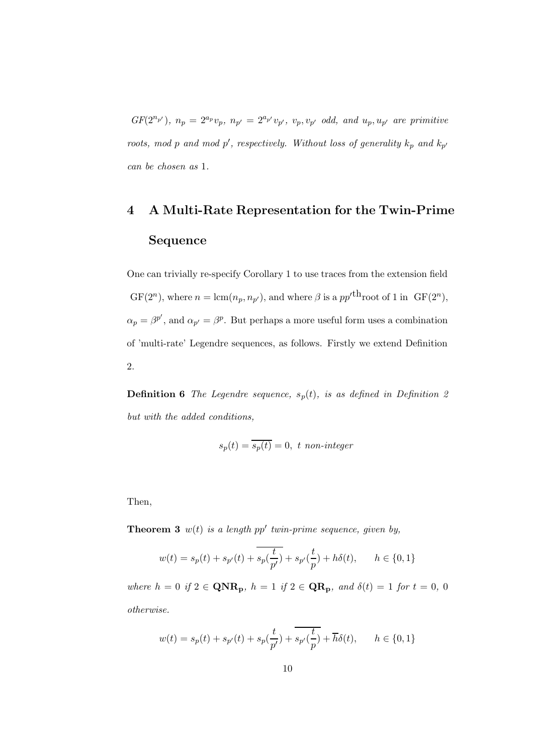$GF(2^{n_{p'}}), n_{p} = 2^{a_{p}}v_{p}, n_{p'} = 2^{a_{p'}}v_{p'}, v_{p}, v_{p'} \text{ odd, and } u_{p}, u_{p'} \text{ are primitive}$ roots, mod p and mod p', respectively. Without loss of generality  $k_p$  and  $k_{p'}$ can be chosen as 1.

## 4 A Multi-Rate Representation for the Twin-Prime Sequence

One can trivially re-specify Corollary 1 to use traces from the extension field  $GF(2^n)$ , where  $n = \text{lcm}(n_p, n_{p'})$ , and where  $\beta$  is a  $pp'^{\text{th}}$  root of 1 in  $GF(2^n)$ ,  $\alpha_p = \beta^{p'}$ , and  $\alpha_{p'} = \beta^p$ . But perhaps a more useful form uses a combination of 'multi-rate' Legendre sequences, as follows. Firstly we extend Definition 2.

**Definition 6** The Legendre sequence,  $s_p(t)$ , is as defined in Definition 2 but with the added conditions,

$$
s_p(t) = \overline{s_p(t)} = 0, \ t \ non-integer
$$

Then,

**Theorem 3**  $w(t)$  is a length pp' twin-prime sequence, given by,

$$
w(t) = s_p(t) + s_{p'}(t) + \overline{s_p(\frac{t}{p'})} + s_{p'}(\frac{t}{p}) + h\delta(t), \qquad h \in \{0, 1\}
$$

where  $h = 0$  if  $2 \in \mathbf{QNR}_p$ ,  $h = 1$  if  $2 \in \mathbf{QR}_p$ , and  $\delta(t) = 1$  for  $t = 0, 0$ otherwise.

$$
w(t)=s_p(t)+s_{p'}(t)+s_p(\frac{t}{p'})+\overline{s_{p'}(\frac{t}{p})}+\overline{h}\delta(t),\qquad h\in\{0,1\}
$$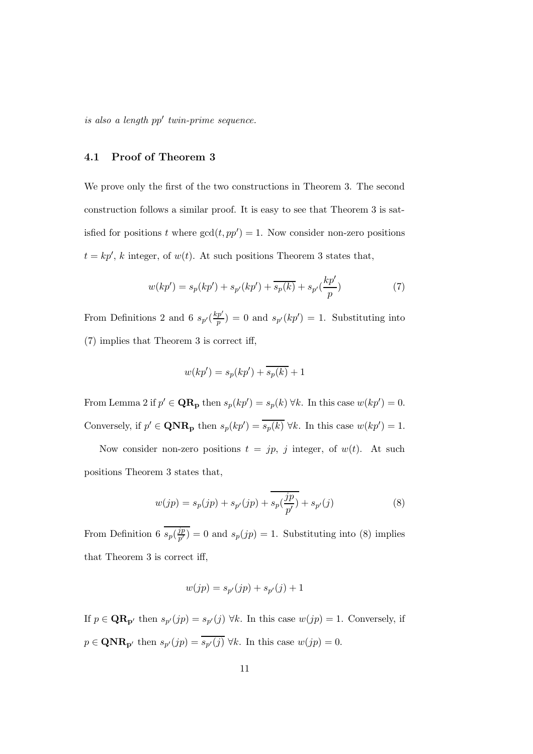$is also a length pp' twin-prime sequence.$ 

#### 4.1 Proof of Theorem 3

We prove only the first of the two constructions in Theorem 3. The second construction follows a similar proof. It is easy to see that Theorem 3 is satisfied for positions t where  $gcd(t, pp') = 1$ . Now consider non-zero positions  $t = kp'$ , k integer, of  $w(t)$ . At such positions Theorem 3 states that,

$$
w(kp') = s_p(kp') + s_{p'}(kp') + \overline{s_p(k)} + s_{p'}(\frac{kp'}{p})
$$
\n(7)

From Definitions 2 and 6  $s_{p'}(\frac{kp'}{p})$  $\binom{p'}{p} = 0$  and  $s_{p'}(kp') = 1$ . Substituting into (7) implies that Theorem 3 is correct iff,

$$
w(kp') = s_p(kp') + \overline{s_p(k)} + 1
$$

From Lemma 2 if  $p' \in \mathbf{QR_p}$  then  $s_p(kp') = s_p(k) \forall k$ . In this case  $w(kp') = 0$ . Conversely, if  $p' \in \mathbf{QNR}_{\mathbf{p}}$  then  $s_p(kp') = \overline{s_p(k)} \ \forall k$ . In this case  $w(kp') = 1$ .

Now consider non-zero positions  $t = jp$ , j integer, of  $w(t)$ . At such positions Theorem 3 states that,

$$
w(jp) = s_p(jp) + s_{p'}(jp) + \overline{s_p(\frac{jp}{p'})} + s_{p'}(j)
$$
\n(8)

From Definition 6  $s_p(\frac{jp}{p^{\prime}})$  $\binom{3p}{p'} = 0$  and  $s_p(jp) = 1$ . Substituting into (8) implies that Theorem 3 is correct iff,

$$
w(jp) = s_{p'}(jp) + s_{p'}(j) + 1
$$

If  $p \in \mathbf{QR}_{p'}$  then  $s_{p'}(jp) = s_{p'}(j) \,\forall k$ . In this case  $w(jp) = 1$ . Conversely, if  $p \in \mathbf{QNR}_{\mathbf{p}'}$  then  $s_{p'}(jp) = s_{p'}(j) \ \forall k$ . In this case  $w(jp) = 0$ .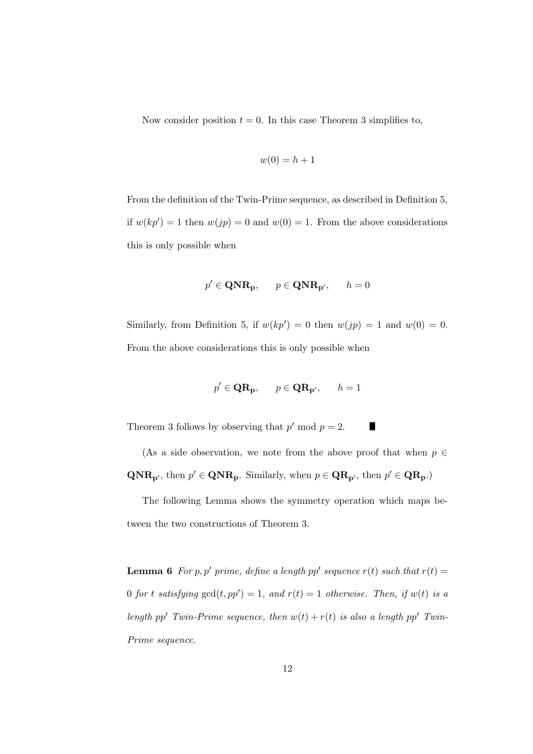Now consider position  $t = 0$ . In this case Theorem 3 simplifies to,

$$
w(0) = h + 1
$$

From the definition of the Twin-Prime sequence, as described in Definition 5, if  $w(kp') = 1$  then  $w(jp) = 0$  and  $w(0) = 1$ . From the above considerations this is only possible when

$$
p' \in \mathbf{QNR}_p, \qquad p \in \mathbf{QNR}_{p'}, \qquad h = 0
$$

Similarly, from Definition 5, if  $w(kp') = 0$  then  $w(jp) = 1$  and  $w(0) = 0$ . From the above considerations this is only possible when

$$
p' \in \mathbf{QR}_{\mathbf{p}}, \qquad p \in \mathbf{QR}_{\mathbf{p}'}, \qquad h = 1
$$

Theorem 3 follows by observing that  $p' \mod p = 2$ . Г

(As a side observation, we note from the above proof that when  $p \in$  $\mathbf{QNR}_{\mathbf{p}'},$  then  $p' \in \mathbf{QNR}_{\mathbf{p}}$ . Similarly, when  $p \in \mathbf{QR}_{\mathbf{p}'},$  then  $p' \in \mathbf{QR}_{\mathbf{p}}$ .)

The following Lemma shows the symmetry operation which maps between the two constructions of Theorem 3.

**Lemma 6** For p, p' prime, define a length pp' sequence  $r(t)$  such that  $r(t) =$ 0 for t satisfying  $gcd(t, pp') = 1$ , and  $r(t) = 1$  otherwise. Then, if  $w(t)$  is a length pp' Twin-Prime sequence, then  $w(t) + r(t)$  is also a length pp' Twin-Prime sequence.